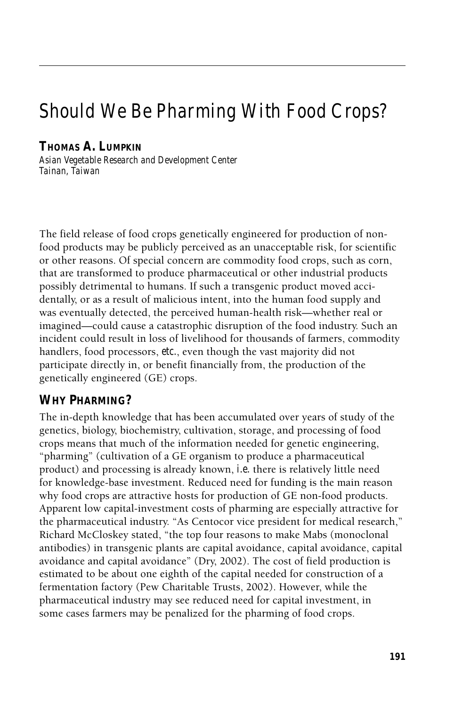# *Should We Be Pharming With Food Crops?*

#### **THOMAS A. LUMPKIN**

*Asian Vegetable Research and Development Center Tainan, Taiwan*

The field release of food crops genetically engineered for production of nonfood products may be publicly perceived as an unacceptable risk, for scientific or other reasons. Of special concern are commodity food crops, such as corn, that are transformed to produce pharmaceutical or other industrial products possibly detrimental to humans. If such a transgenic product moved accidentally, or as a result of malicious intent, into the human food supply and was eventually detected, the perceived human-health risk—whether real or imagined—could cause a catastrophic disruption of the food industry. Such an incident could result in loss of livelihood for thousands of farmers, commodity handlers, food processors, *etc.*, even though the vast majority did not participate directly in, or benefit financially from, the production of the genetically engineered (GE) crops.

# **WHY PHARMING?**

The in-depth knowledge that has been accumulated over years of study of the genetics, biology, biochemistry, cultivation, storage, and processing of food crops means that much of the information needed for genetic engineering, "pharming" (cultivation of a GE organism to produce a pharmaceutical product) and processing is already known, *i.e.* there is relatively little need for knowledge-base investment. Reduced need for funding is the main reason why food crops are attractive hosts for production of GE non-food products. Apparent low capital-investment costs of pharming are especially attractive for the pharmaceutical industry. "As Centocor vice president for medical research," Richard McCloskey stated, "the top four reasons to make Mabs (monoclonal antibodies) in transgenic plants are capital avoidance, capital avoidance, capital avoidance and capital avoidance" (Dry, 2002). The cost of field production is estimated to be about one eighth of the capital needed for construction of a fermentation factory (Pew Charitable Trusts, 2002). However, while the pharmaceutical industry may see reduced need for capital investment, in some cases farmers may be penalized for the pharming of food crops.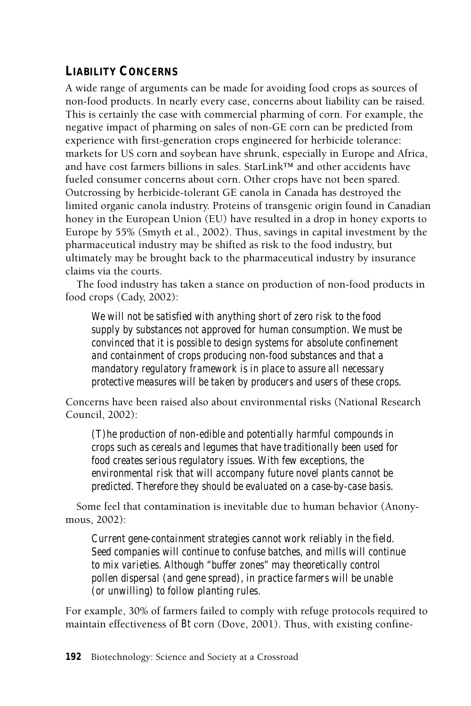# **LIABILITY CONCERNS**

A wide range of arguments can be made for avoiding food crops as sources of non-food products. In nearly every case, concerns about liability can be raised. This is certainly the case with commercial pharming of corn. For example, the negative impact of pharming on sales of non-GE corn can be predicted from experience with first-generation crops engineered for herbicide tolerance: markets for US corn and soybean have shrunk, especially in Europe and Africa, and have cost farmers billions in sales. StarLink™ and other accidents have fueled consumer concerns about corn. Other crops have not been spared. Outcrossing by herbicide-tolerant GE canola in Canada has destroyed the limited organic canola industry. Proteins of transgenic origin found in Canadian honey in the European Union (EU) have resulted in a drop in honey exports to Europe by 55% (Smyth et al., 2002). Thus, savings in capital investment by the pharmaceutical industry may be shifted as risk to the food industry, but ultimately may be brought back to the pharmaceutical industry by insurance claims via the courts.

The food industry has taken a stance on production of non-food products in food crops (Cady, 2002):

*We will not be satisfied with anything short of zero risk to the food supply by substances not approved for human consumption. We must be convinced that it is possible to design systems for absolute confinement and containment of crops producing non-food substances and that a mandatory regulatory framework is in place to assure all necessary protective measures will be taken by producers and users of these crops.*

Concerns have been raised also about environmental risks (National Research Council, 2002):

*(T)he production of non-edible and potentially harmful compounds in crops such as cereals and legumes that have traditionally been used for food creates serious regulatory issues. With few exceptions, the environmental risk that will accompany future novel plants cannot be predicted. Therefore they should be evaluated on a case-by-case basis.*

Some feel that contamination is inevitable due to human behavior (Anonymous, 2002):

*Current gene-containment strategies cannot work reliably in the field. Seed companies will continue to confuse batches, and mills will continue to mix varieties. Although "buffer zones" may theoretically control pollen dispersal (and gene spread), in practice farmers will be unable (or unwilling) to follow planting rules.*

For example, 30% of farmers failed to comply with refuge protocols required to maintain effectiveness of *Bt* corn (Dove, 2001). Thus, with existing confine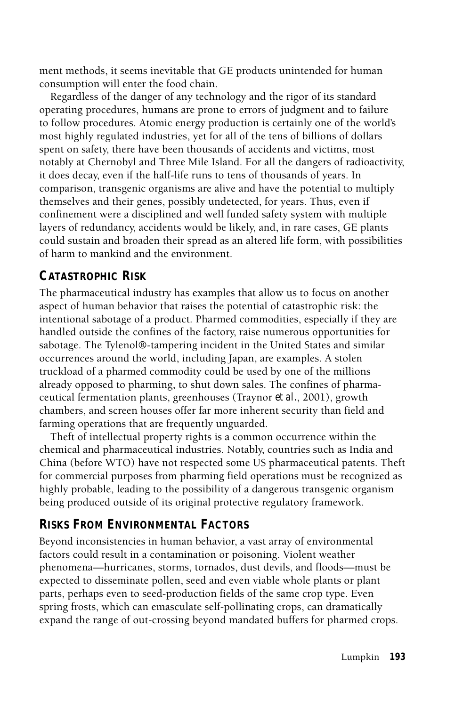ment methods, it seems inevitable that GE products unintended for human consumption will enter the food chain.

Regardless of the danger of any technology and the rigor of its standard operating procedures, humans are prone to errors of judgment and to failure to follow procedures. Atomic energy production is certainly one of the world's most highly regulated industries, yet for all of the tens of billions of dollars spent on safety, there have been thousands of accidents and victims, most notably at Chernobyl and Three Mile Island. For all the dangers of radioactivity, it does decay, even if the half-life runs to tens of thousands of years. In comparison, transgenic organisms are alive and have the potential to multiply themselves and their genes, possibly undetected, for years. Thus, even if confinement were a disciplined and well funded safety system with multiple layers of redundancy, accidents would be likely, and, in rare cases, GE plants could sustain and broaden their spread as an altered life form, with possibilities of harm to mankind and the environment.

# **CATASTROPHIC RISK**

The pharmaceutical industry has examples that allow us to focus on another aspect of human behavior that raises the potential of catastrophic risk: the intentional sabotage of a product. Pharmed commodities, especially if they are handled outside the confines of the factory, raise numerous opportunities for sabotage. The Tylenol®-tampering incident in the United States and similar occurrences around the world, including Japan, are examples. A stolen truckload of a pharmed commodity could be used by one of the millions already opposed to pharming, to shut down sales. The confines of pharmaceutical fermentation plants, greenhouses (Traynor *et al.*, 2001), growth chambers, and screen houses offer far more inherent security than field and farming operations that are frequently unguarded.

Theft of intellectual property rights is a common occurrence within the chemical and pharmaceutical industries. Notably, countries such as India and China (before WTO) have not respected some US pharmaceutical patents. Theft for commercial purposes from pharming field operations must be recognized as highly probable, leading to the possibility of a dangerous transgenic organism being produced outside of its original protective regulatory framework.

#### **RISKS FROM ENVIRONMENTAL FACTORS**

Beyond inconsistencies in human behavior, a vast array of environmental factors could result in a contamination or poisoning. Violent weather phenomena—hurricanes, storms, tornados, dust devils, and floods—must be expected to disseminate pollen, seed and even viable whole plants or plant parts, perhaps even to seed-production fields of the same crop type. Even spring frosts, which can emasculate self-pollinating crops, can dramatically expand the range of out-crossing beyond mandated buffers for pharmed crops.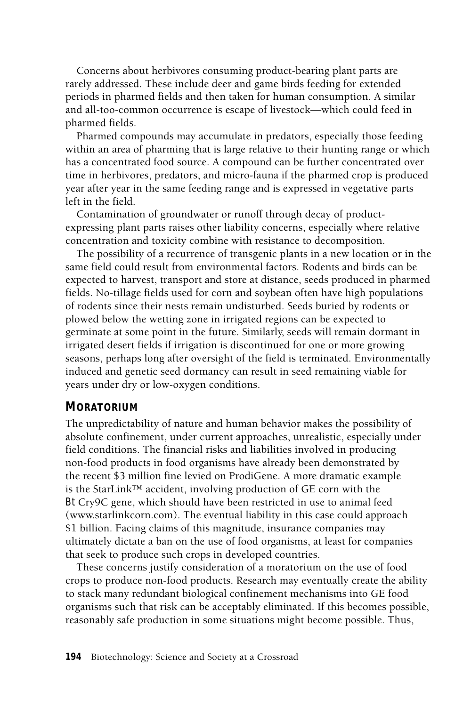Concerns about herbivores consuming product-bearing plant parts are rarely addressed. These include deer and game birds feeding for extended periods in pharmed fields and then taken for human consumption. A similar and all-too-common occurrence is escape of livestock—which could feed in pharmed fields.

Pharmed compounds may accumulate in predators, especially those feeding within an area of pharming that is large relative to their hunting range or which has a concentrated food source. A compound can be further concentrated over time in herbivores, predators, and micro-fauna if the pharmed crop is produced year after year in the same feeding range and is expressed in vegetative parts left in the field.

Contamination of groundwater or runoff through decay of productexpressing plant parts raises other liability concerns, especially where relative concentration and toxicity combine with resistance to decomposition.

The possibility of a recurrence of transgenic plants in a new location or in the same field could result from environmental factors. Rodents and birds can be expected to harvest, transport and store at distance, seeds produced in pharmed fields. No-tillage fields used for corn and soybean often have high populations of rodents since their nests remain undisturbed. Seeds buried by rodents or plowed below the wetting zone in irrigated regions can be expected to germinate at some point in the future. Similarly, seeds will remain dormant in irrigated desert fields if irrigation is discontinued for one or more growing seasons, perhaps long after oversight of the field is terminated. Environmentally induced and genetic seed dormancy can result in seed remaining viable for years under dry or low-oxygen conditions.

#### **MORATORIUM**

The unpredictability of nature and human behavior makes the possibility of absolute confinement, under current approaches, unrealistic, especially under field conditions. The financial risks and liabilities involved in producing non-food products in food organisms have already been demonstrated by the recent \$3 million fine levied on ProdiGene. A more dramatic example is the StarLink™ accident, involving production of GE corn with the *Bt* Cry9C gene, which should have been restricted in use to animal feed (www.starlinkcorn.com). The eventual liability in this case could approach \$1 billion. Facing claims of this magnitude, insurance companies may ultimately dictate a ban on the use of food organisms, at least for companies that seek to produce such crops in developed countries.

These concerns justify consideration of a moratorium on the use of food crops to produce non-food products. Research may eventually create the ability to stack many redundant biological confinement mechanisms into GE food organisms such that risk can be acceptably eliminated. If this becomes possible, reasonably safe production in some situations might become possible. Thus,